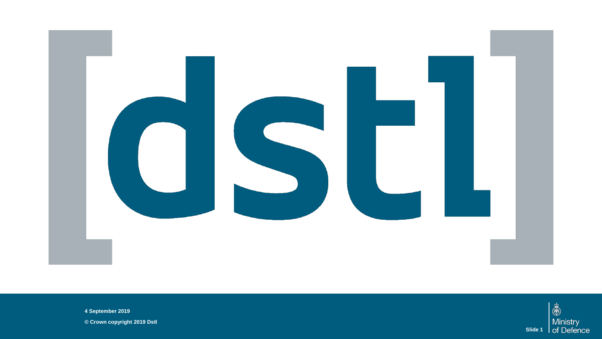

**4 September 2019**

**© Crown copyright 2019 Dstl**

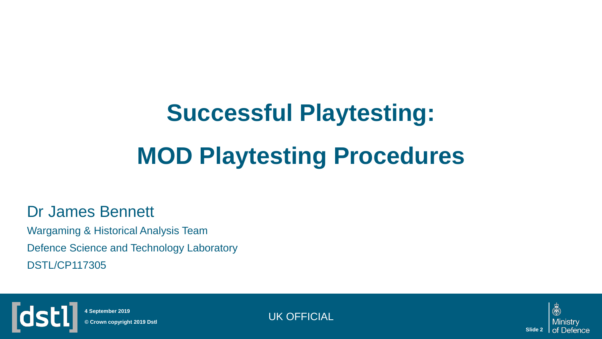# **Successful Playtesting: MOD Playtesting Procedures**

#### Dr James Bennett

Wargaming & Historical Analysis Team Defence Science and Technology Laboratory DSTL/CP117305



**© Crown copyright 2019 Dstl 4 September 2019**

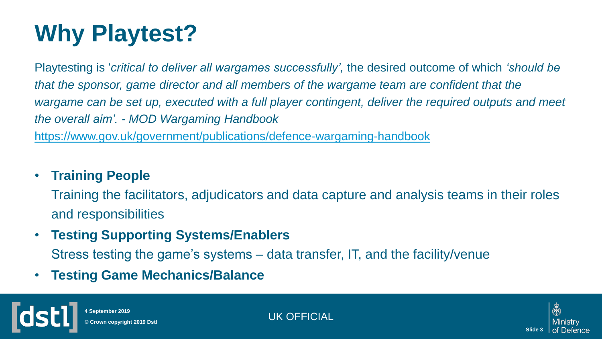# **Why Playtest?**

Playtesting is '*critical to deliver all wargames successfully',* the desired outcome of which *'should be that the sponsor, game director and all members of the wargame team are confident that the wargame can be set up, executed with a full player contingent, deliver the required outputs and meet the overall aim'. - MOD Wargaming Handbook*  <https://www.gov.uk/government/publications/defence-wargaming-handbook>

#### • **Training People**

Training the facilitators, adjudicators and data capture and analysis teams in their roles and responsibilities

• **Testing Supporting Systems/Enablers** 

Stress testing the game's systems – data transfer, IT, and the facility/venue

• **Testing Game Mechanics/Balance**



**4 September 2019**

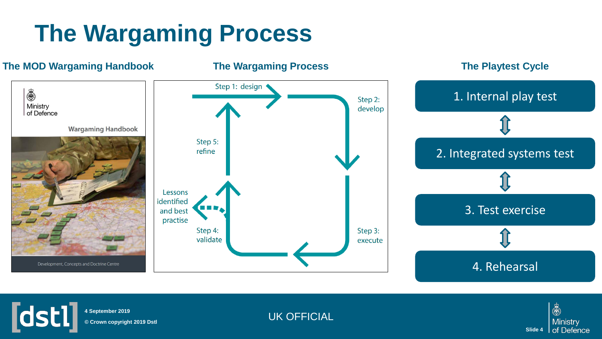### **The Wargaming Process**



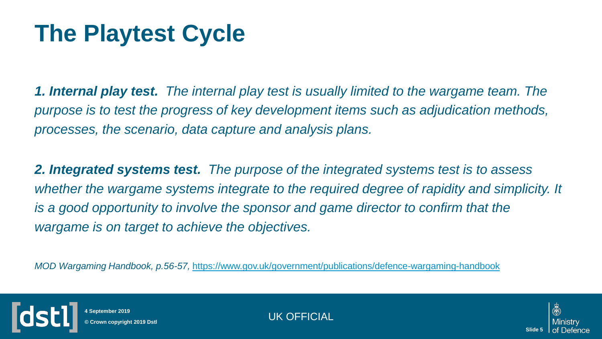### **The Playtest Cycle**

*1. Internal play test. The internal play test is usually limited to the wargame team. The purpose is to test the progress of key development items such as adjudication methods, processes, the scenario, data capture and analysis plans.*

*2. Integrated systems test. The purpose of the integrated systems test is to assess whether the wargame systems integrate to the required degree of rapidity and simplicity. It is a good opportunity to involve the sponsor and game director to confirm that the wargame is on target to achieve the objectives.*

*MOD Wargaming Handbook, p.56-57,* <https://www.gov.uk/government/publications/defence-wargaming-handbook>



**4 September 2019**

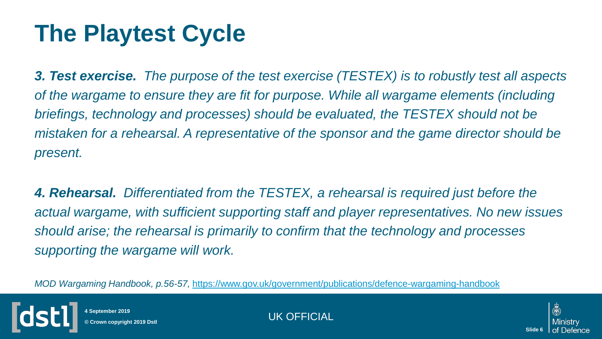### **The Playtest Cycle**

*3. Test exercise. The purpose of the test exercise (TESTEX) is to robustly test all aspects of the wargame to ensure they are fit for purpose. While all wargame elements (including briefings, technology and processes) should be evaluated, the TESTEX should not be mistaken for a rehearsal. A representative of the sponsor and the game director should be present.* 

*4. Rehearsal. Differentiated from the TESTEX, a rehearsal is required just before the actual wargame, with sufficient supporting staff and player representatives. No new issues should arise; the rehearsal is primarily to confirm that the technology and processes supporting the wargame will work.* 

*MOD Wargaming Handbook, p.56-57,* <https://www.gov.uk/government/publications/defence-wargaming-handbook>



**4 September 2019**

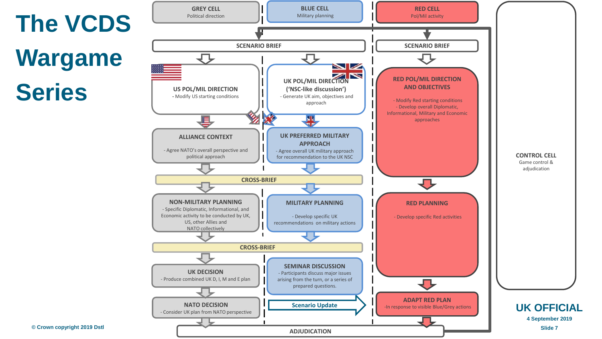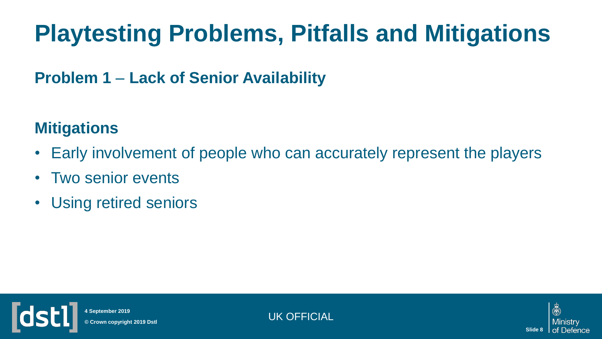## **Playtesting Problems, Pitfalls and Mitigations**

### **Problem 1** – **Lack of Senior Availability**

### **Mitigations**

- Early involvement of people who can accurately represent the players
- Two senior events
- Using retired seniors



**4 September 2019**

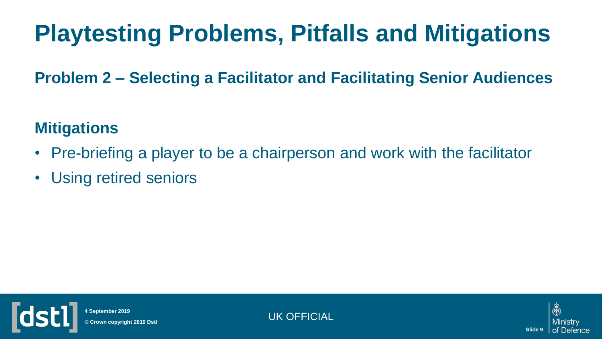## **Playtesting Problems, Pitfalls and Mitigations**

**Problem 2 – Selecting a Facilitator and Facilitating Senior Audiences**

### **Mitigations**

- Pre-briefing a player to be a chairperson and work with the facilitator
- Using retired seniors



**4 September 2019**

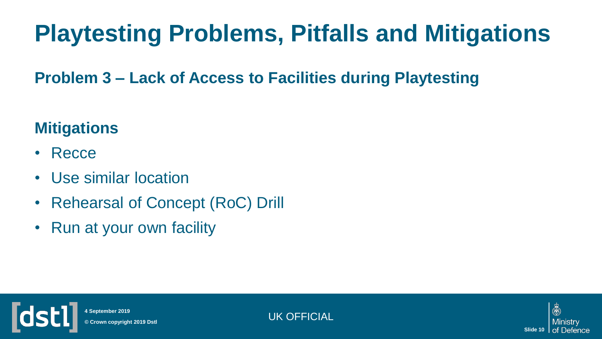## **Playtesting Problems, Pitfalls and Mitigations**

**Problem 3 – Lack of Access to Facilities during Playtesting**

### **Mitigations**

- Recce
- Use similar location
- Rehearsal of Concept (RoC) Drill
- Run at your own facility



UK OFFICIAL **© Crown copyright 2019 Dstl 4 September 2019**

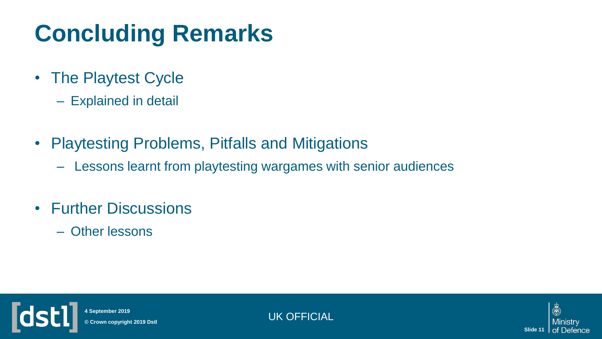## **Concluding Remarks**

- The Playtest Cycle
	- Explained in detail
- Playtesting Problems, Pitfalls and Mitigations
	- Lessons learnt from playtesting wargames with senior audiences
- Further Discussions
	- Other lessons



UK OFFICIAL **© Crown copyright 2019 Dstl 4 September 2019**